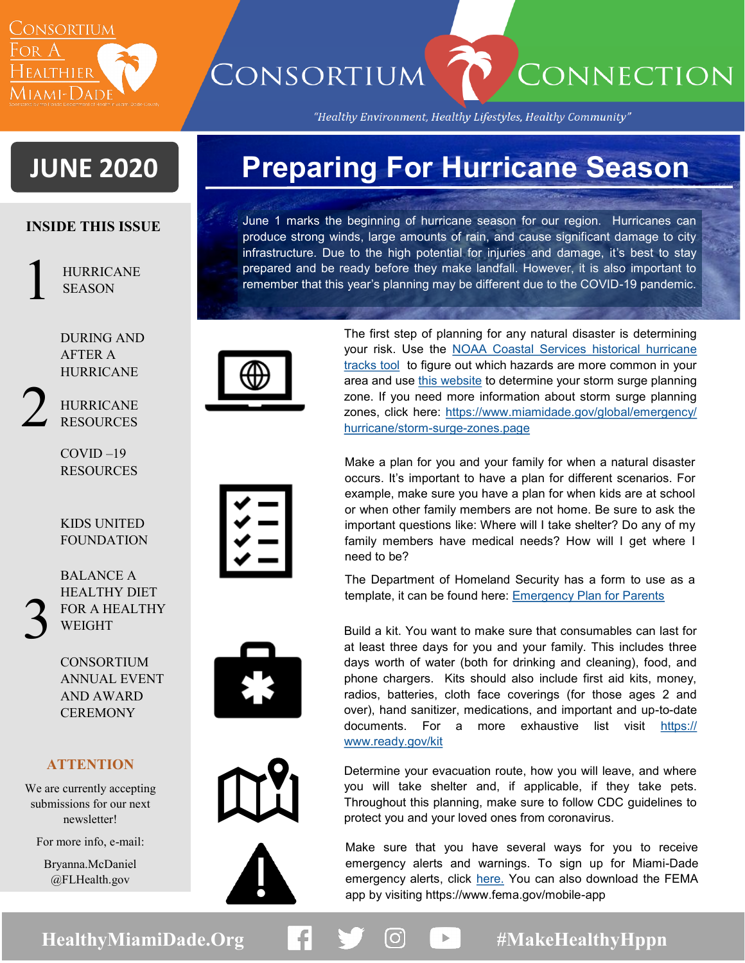

CONSORTIUM

"Healthy Environment, Healthy Lifestyles, Healthy Community"

CONNECTION

# **JUNE 2020**

### **INSIDE THIS ISSUE**

1

HURRICANE SEASON

DURING AND AFTER A HURRICANE

2

## HURRICANE RESOURCES

COVID –19 RESOURCES

#### KIDS UNITED FOUNDATION

3

BALANCE A HEALTHY DIET FOR A HEALTHY WEIGHT

CONSORTIUM ANNUAL EVENT AND AWARD **CEREMONY** 

### **ATTENTION**

We are currently accepting submissions for our next newsletter!

For more info, e-mail:

Bryanna.McDaniel @FLHealth.gov

# **Preparing For Hurricane Season**

June 1 marks the beginning of hurricane season for our region. Hurricanes can produce strong winds, large amounts of rain, and cause significant damage to city infrastructure. Due to the high potential for injuries and damage, it's best to stay prepared and be ready before they make landfall. However, it is also important to remember that this year's planning may be different due to the COVID-19 pandemic.



The first step of planning for any natural disaster is determining your risk. Use the [NOAA Coastal Services historical hurricane](https://coast.noaa.gov/hurricanes/)  [tracks tool](https://coast.noaa.gov/hurricanes/) to figure out which hazards are more common in your area and use [this website](https://mdc.maps.arcgis.com/apps/webappviewer/index.html?id=4919c85a439f40c68d7b3c81c3f44b58) to determine your storm surge planning zone. If you need more information about storm surge planning zones, click here: [https://www.miamidade.gov/global/emergency/](https://www.miamidade.gov/global/emergency/hurricane/storm-surge-zones.page) [hurricane/storm](https://www.miamidade.gov/global/emergency/hurricane/storm-surge-zones.page)-surge-zones.page

Make a plan for you and your family for when a natural disaster occurs. It's important to have a plan for different scenarios. For example, make sure you have a plan for when kids are at school or when other family members are not home. Be sure to ask the important questions like: Where will I take shelter? Do any of my family members have medical needs? How will I get where I need to be?

The Department of Homeland Security has a form to use as a template, it can be found here: **Emergency Plan for Parents** 

Build a kit. You want to make sure that consumables can last for at least three days for you and your family. This includes three days worth of water (both for drinking and cleaning), food, and phone chargers. Kits should also include first aid kits, money, radios, batteries, cloth face coverings (for those ages 2 and over), hand sanitizer, medications, and important and up-to-date documents. For a more exhaustive list visit [https://](https://www.ready.gov/kit) [www.ready.gov/kit](https://www.ready.gov/kit)

Determine your evacuation route, how you will leave, and where you will take shelter and, if applicable, if they take pets. Throughout this planning, make sure to follow CDC guidelines to protect you and your loved ones from coronavirus.

Make sure that you have several ways for you to receive emergency alerts and warnings. To sign up for Miami-Dade emergency alerts, click [here.](https://www.miamidade.gov/global/service.page?Mduid_service=ser149122963708133) You can also download the FEMA app by visiting https://www.fema.gov/mobile-app

HealthyMiamiDade.Org **#MakeHealthyHppn**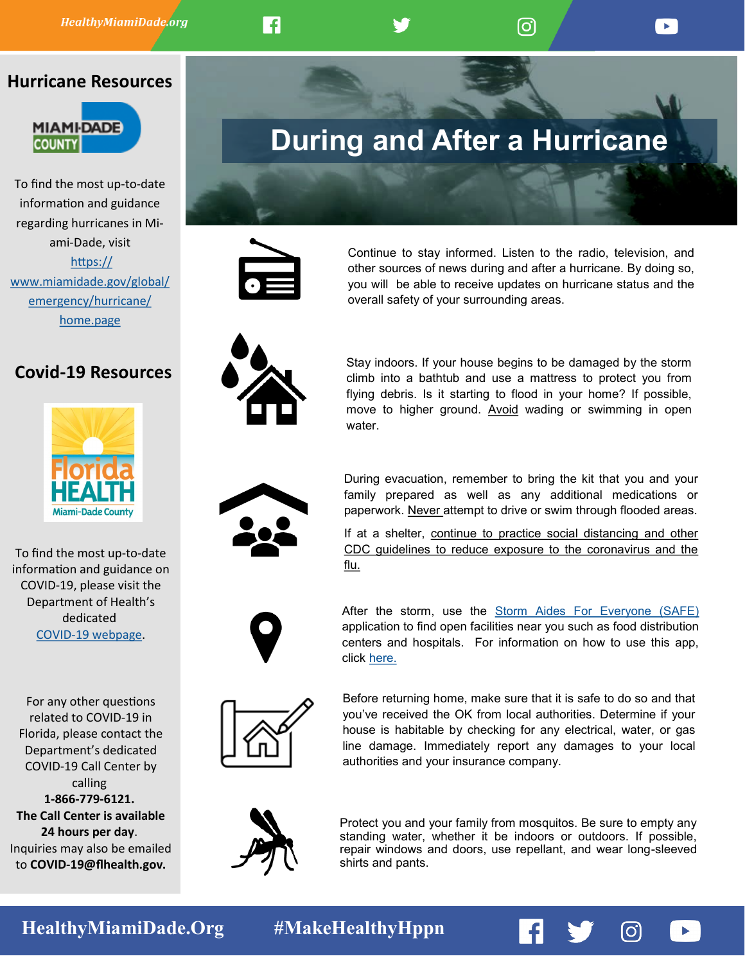### **Hurricane Resources**



To find the most up-to-date information and guidance regarding hurricanes in Miami-Dade, visit [https://](https://www.miamidade.gov/global/emergency/hurricane/home.page) [www.miamidade.gov/global/](https://www.miamidade.gov/global/emergency/hurricane/home.page) [emergency/hurricane/](https://www.miamidade.gov/global/emergency/hurricane/home.page) [home.page](https://www.miamidade.gov/global/emergency/hurricane/home.page)

## **Covid-19 Resources**



To find the most up-to-date information and guidance on COVID-19, please visit the Department of Health's dedicated COVID-[19 webpage.](https://lnks.gd/l/eyJhbGciOiJIUzI1NiJ9.eyJidWxsZXRpbl9saW5rX2lkIjoxMDAsInVyaSI6ImJwMjpjbGljayIsImJ1bGxldGluX2lkIjoiMjAyMDAzMTQuMTg3MzM2MTEiLCJ1cmwiOiJodHRwczovL25hbTA1LnNhZmVsaW5rcy5wcm90ZWN0aW9uLm91dGxvb2suY29tLz91cmw9aHR0cHMlM0ElMkYlMkZsbmtzLmdkJTJGbCUyRmV5) 

For any other questions related to COVID-19 in Florida, please contact the Department's dedicated COVID-19 Call Center by calling **1-866-779-[6121.](tel:+1-866-779-6121) The Call Center is available 24 hours per day**. Inquiries may also be emailed to **COVID-[19@flhealth.gov.](mailto:COVID-19@flhealth.gov)**

# **During and After a Hurricane**



F

Continue to stay informed. Listen to the radio, television, and other sources of news during and after a hurricane. By doing so, you will be able to receive updates on hurricane status and the overall safety of your surrounding areas.

<u>ල</u>



Stay indoors. If your house begins to be damaged by the storm climb into a bathtub and use a mattress to protect you from flying debris. Is it starting to flood in your home? If possible, move to higher ground. Avoid wading or swimming in open water.



During evacuation, remember to bring the kit that you and your family prepared as well as any additional medications or paperwork. Never attempt to drive or swim through flooded areas.

If at a shelter, continue to practice social distancing and other CDC guidelines to reduce exposure to the coronavirus and the flu.



After the storm, use the [Storm Aides For Everyone \(SAFE\)](https://mdc.maps.arcgis.com/apps/LocalPerspective/index.html?appid=04e16f2dfb9644b480339f9425a94494) application to find open facilities near you such as food distribution centers and hospitals. For information on how to use this app, click [here.](https://www.miamidade.gov/global/service.page?Mduid_service=ser1519420150744488)



Before returning home, make sure that it is safe to do so and that you've received the OK from local authorities. Determine if your house is habitable by checking for any electrical, water, or gas line damage. Immediately report any damages to your local authorities and your insurance company.



Protect you and your family from mosquitos. Be sure to empty any standing water, whether it be indoors or outdoors. If possible, repair windows and doors, use repellant, and wear long-sleeved shirts and pants.

[ဝ]